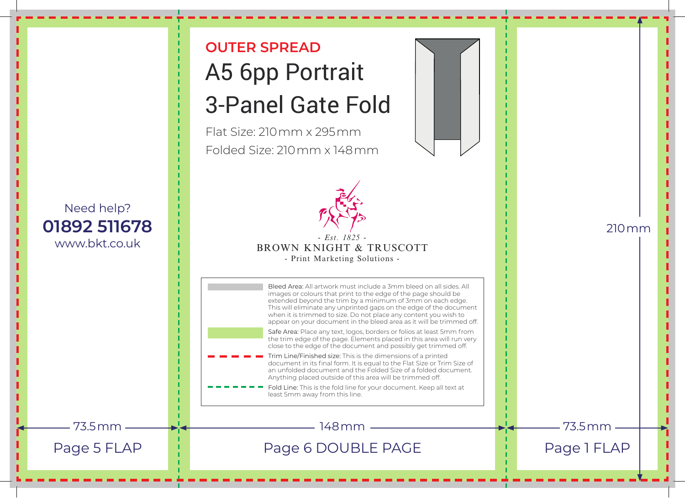